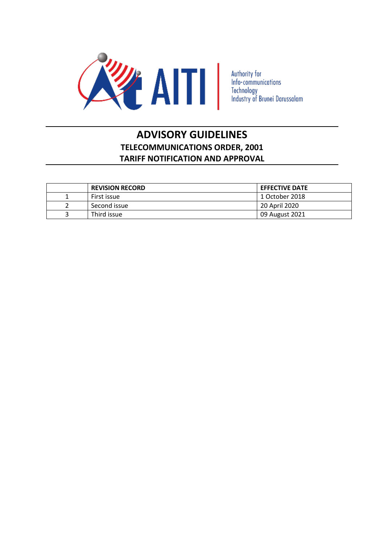

Authority for<br>Info-communications<br>Technology<br>Industry of Brunei Darussalam

# **ADVISORY GUIDELINES TELECOMMUNICATIONS ORDER, 2001 TARIFF NOTIFICATION AND APPROVAL**

| <b>REVISION RECORD</b> | <b>EFFECTIVE DATE</b> |
|------------------------|-----------------------|
| First issue            | 1 October 2018        |
| Second issue           | 20 April 2020         |
| Third issue            | 09 August 2021        |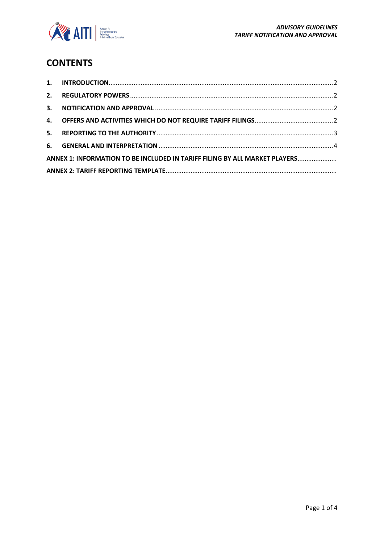

# **CONTENTS**

| ANNEX 1: INFORMATION TO BE INCLUDED IN TARIFF FILING BY ALL MARKET PLAYERS |  |  |  |
|----------------------------------------------------------------------------|--|--|--|
|                                                                            |  |  |  |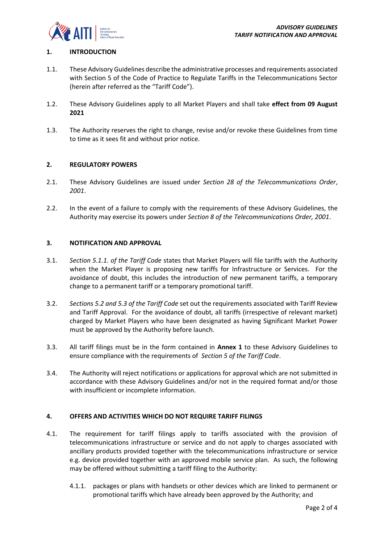

## <span id="page-2-0"></span>**1. INTRODUCTION**

- 1.1. These Advisory Guidelines describe the administrative processes and requirements associated with Section 5 of the Code of Practice to Regulate Tariffs in the Telecommunications Sector (herein after referred as the "Tariff Code").
- 1.2. These Advisory Guidelines apply to all Market Players and shall take **effect from 09 August 2021**
- 1.3. The Authority reserves the right to change, revise and/or revoke these Guidelines from time to time as it sees fit and without prior notice.

## <span id="page-2-1"></span>**2. REGULATORY POWERS**

- 2.1. These Advisory Guidelines are issued under *Section 28 of the Telecommunications Order*, *2001*.
- 2.2. In the event of a failure to comply with the requirements of these Advisory Guidelines, the Authority may exercise its powers under *Section 8 of the Telecommunications Order, 2001*.

## <span id="page-2-2"></span>**3. NOTIFICATION AND APPROVAL**

- 3.1. *Section 5.1.1. of the Tariff Code* states that Market Players will file tariffs with the Authority when the Market Player is proposing new tariffs for Infrastructure or Services. For the avoidance of doubt, this includes the introduction of new permanent tariffs, a temporary change to a permanent tariff or a temporary promotional tariff.
- 3.2. *Sections 5.2 and 5.3 of the Tariff Code* set out the requirements associated with Tariff Review and Tariff Approval. For the avoidance of doubt, all tariffs (irrespective of relevant market) charged by Market Players who have been designated as having Significant Market Power must be approved by the Authority before launch.
- 3.3. All tariff filings must be in the form contained in **Annex 1** to these Advisory Guidelines to ensure compliance with the requirements of *Section 5 of the Tariff Code*.
- 3.4. The Authority will reject notifications or applications for approval which are not submitted in accordance with these Advisory Guidelines and/or not in the required format and/or those with insufficient or incomplete information.

## <span id="page-2-3"></span>**4. OFFERS AND ACTIVITIES WHICH DO NOT REQUIRE TARIFF FILINGS**

- 4.1. The requirement for tariff filings apply to tariffs associated with the provision of telecommunications infrastructure or service and do not apply to charges associated with ancillary products provided together with the telecommunications infrastructure or service e.g. device provided together with an approved mobile service plan. As such, the following may be offered without submitting a tariff filing to the Authority:
	- 4.1.1. packages or plans with handsets or other devices which are linked to permanent or promotional tariffs which have already been approved by the Authority; and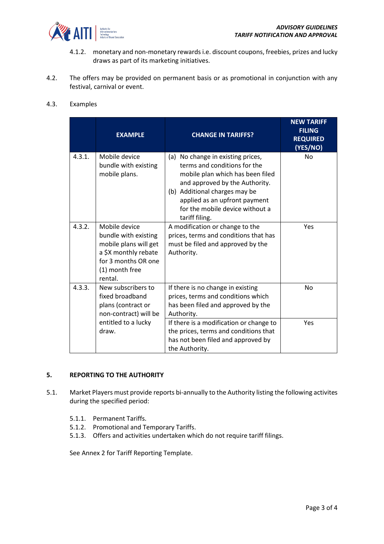

- 4.1.2. monetary and non-monetary rewards i.e. discount coupons, freebies, prizes and lucky draws as part of its marketing initiatives.
- 4.2. The offers may be provided on permanent basis or as promotional in conjunction with any festival, carnival or event.

# 4.3. Examples

|        | <b>EXAMPLE</b>                                                                                                                             | <b>CHANGE IN TARIFFS?</b>                                                                                                                                                                                                                                         | <b>NEW TARIFF</b><br><b>FILING</b><br><b>REQUIRED</b><br>(YES/NO) |
|--------|--------------------------------------------------------------------------------------------------------------------------------------------|-------------------------------------------------------------------------------------------------------------------------------------------------------------------------------------------------------------------------------------------------------------------|-------------------------------------------------------------------|
| 4.3.1. | Mobile device<br>bundle with existing<br>mobile plans.                                                                                     | No change in existing prices,<br>(a)<br>terms and conditions for the<br>mobile plan which has been filed<br>and approved by the Authority.<br>(b) Additional charges may be<br>applied as an upfront payment<br>for the mobile device without a<br>tariff filing. | <b>No</b>                                                         |
| 4.3.2. | Mobile device<br>bundle with existing<br>mobile plans will get<br>a \$X monthly rebate<br>for 3 months OR one<br>(1) month free<br>rental. | A modification or change to the<br>prices, terms and conditions that has<br>must be filed and approved by the<br>Authority.                                                                                                                                       | Yes                                                               |
| 4.3.3. | New subscribers to<br>fixed broadband<br>plans (contract or<br>non-contract) will be                                                       | If there is no change in existing<br>prices, terms and conditions which<br>has been filed and approved by the<br>Authority.                                                                                                                                       | <b>No</b>                                                         |
|        | entitled to a lucky<br>draw.                                                                                                               | If there is a modification or change to<br>the prices, terms and conditions that<br>has not been filed and approved by<br>the Authority.                                                                                                                          | Yes                                                               |

#### <span id="page-3-0"></span>**5. REPORTING TO THE AUTHORITY**

- 5.1. Market Players must provide reports bi-annually to the Authority listing the following activites during the specified period:
	- 5.1.1. Permanent Tariffs.
	- 5.1.2. Promotional and Temporary Tariffs.
	- 5.1.3. Offers and activities undertaken which do not require tariff filings.

See Annex 2 for Tariff Reporting Template.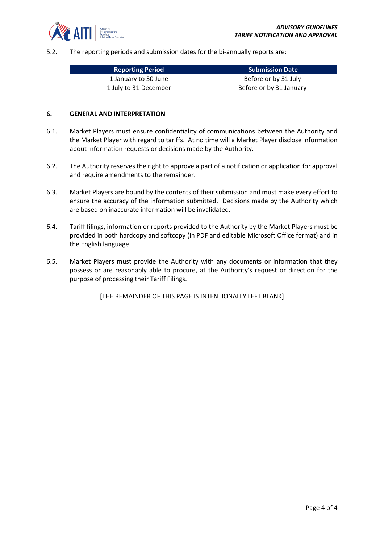

5.2. The reporting periods and submission dates for the bi-annually reports are:

| <b>Reporting Period</b> | <b>Submission Date</b>  |  |  |
|-------------------------|-------------------------|--|--|
| 1 January to 30 June    | Before or by 31 July    |  |  |
| 1 July to 31 December   | Before or by 31 January |  |  |

#### <span id="page-4-0"></span>**6. GENERAL AND INTERPRETATION**

- 6.1. Market Players must ensure confidentiality of communications between the Authority and the Market Player with regard to tariffs. At no time will a Market Player disclose information about information requests or decisions made by the Authority.
- 6.2. The Authority reserves the right to approve a part of a notification or application for approval and require amendments to the remainder.
- 6.3. Market Players are bound by the contents of their submission and must make every effort to ensure the accuracy of the information submitted. Decisions made by the Authority which are based on inaccurate information will be invalidated.
- 6.4. Tariff filings, information or reports provided to the Authority by the Market Players must be provided in both hardcopy and softcopy (in PDF and editable Microsoft Office format) and in the English language.
- 6.5. Market Players must provide the Authority with any documents or information that they possess or are reasonably able to procure, at the Authority's request or direction for the purpose of processing their Tariff Filings.

[THE REMAINDER OF THIS PAGE IS INTENTIONALLY LEFT BLANK]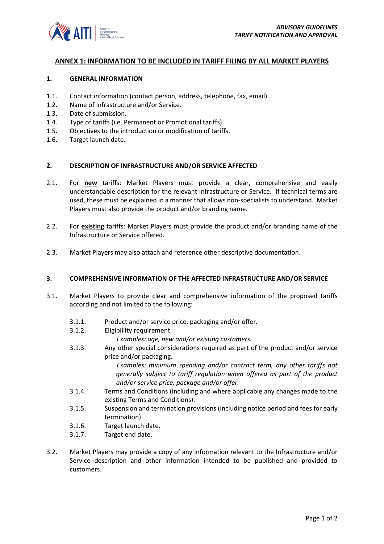

#### <span id="page-5-0"></span>**ANNEX 1: INFORMATION TO BE INCLUDED IN TARIFF FILING BY ALL MARKET PLAYERS**

#### **1. GENERAL INFORMATION**

- 1.1. Contact information (contact person, address, telephone, fax, email).
- 1.2. Name of Infrastructure and/or Service.
- 1.3. Date of submission.
- 1.4. Type of tariffs (i.e. Permanent or Promotional tariffs).
- 1.5. Objectives to the introduction or modification of tariffs.
- 1.6. Target launch date.

## **2. DESCRIPTION OF INFRASTRUCTURE AND/OR SERVICE AFFECTED**

- 2.1. For **new** tariffs: Market Players must provide a clear, comprehensive and easily understandable description for the relevant Infrastructure or Service. If technical terms are used, these must be explained in a manner that allows non-specialists to understand. Market Players must also provide the product and/or branding name.
- 2.2. For **existing** tariffs: Market Players must provide the product and/or branding name of the Infrastructure or Service offered.
- 2.3. Market Players may also attach and reference other descriptive documentation.

#### **3. COMPREHENSIVE INFORMATION OF THE AFFECTED INFRASTRUCTURE AND/OR SERVICE**

- 3.1. Market Players to provide clear and comprehensive information of the proposed tariffs according and not limited to the following:
	- 3.1.1. Product and/or service price, packaging and/or offer.
	- 3.1.2. Eligibililty requirement.
		- *Examples: age, new and/or existing customers.*
	- 3.1.3. Any other special considerations required as part of the product and/or service price and/or packaging.

*Examples: minimum spending and/or contract term, any other tariffs not generally subject to tariff regulation when offered as part of the product and/or service price, package and/or offer.*

- 3.1.4. Terms and Conditions (including and where applicable any changes made to the existing Terms and Conditions).
- 3.1.5. Suspension and termination provisions (including notice period and fees for early termination).
- 3.1.6. Target launch date.
- 3.1.7. Target end date.
- 3.2. Market Players may provide a copy of any information relevant to the Infrastructure and/or Service description and other information intended to be published and provided to customers.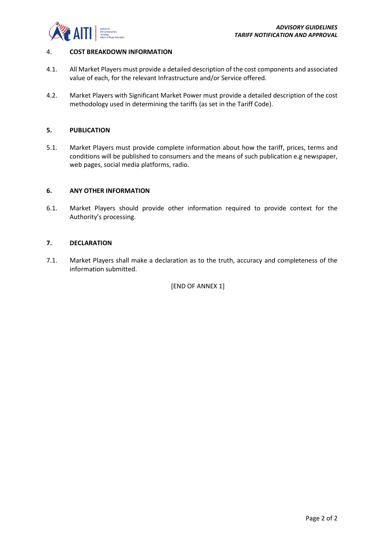

## 4. **COST BREAKDOWN INFORMATION**

- 4.1. All Market Players must provide a detailed description of the cost components and associated value of each, for the relevant Infrastructure and/or Service offered.
- 4.2. Market Players with Significant Market Power must provide a detailed description of the cost methodology used in determining the tariffs (as set in the Tariff Code).

## **5. PUBLICATION**

5.1. Market Players must provide complete information about how the tariff, prices, terms and conditions will be published to consumers and the means of such publication e.g newspaper, web pages, social media platforms, radio.

## **6. ANY OTHER INFORMATION**

6.1. Market Players should provide other information required to provide context for the Authority's processing.

## **7. DECLARATION**

7.1. Market Players shall make a declaration as to the truth, accuracy and completeness of the information submitted.

[END OF ANNEX 1]